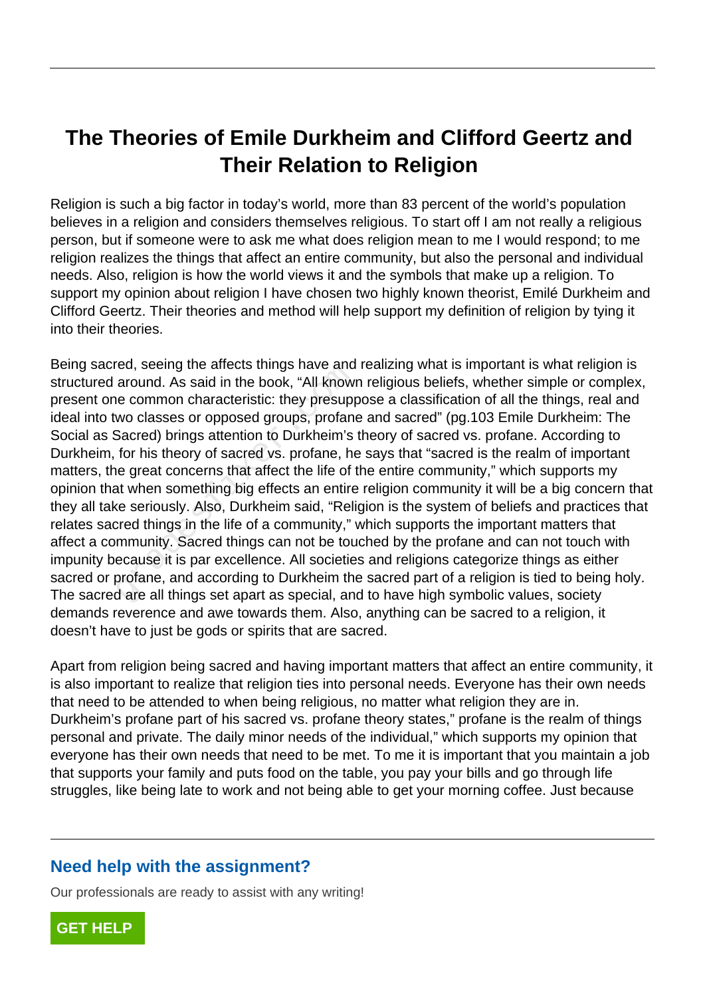## **The Theories of Emile Durkheim and Clifford Geertz and Their Relation to Religion**

Religion is such a big factor in today's world, more than 83 percent of the world's population believes in a religion and considers themselves religious. To start off I am not really a religious person, but if someone were to ask me what does religion mean to me I would respond; to me religion realizes the things that affect an entire community, but also the personal and individual needs. Also, religion is how the world views it and the symbols that make up a religion. To support my opinion about religion I have chosen two highly known theorist, Emilé Durkheim and Clifford Geertz. Their theories and method will help support my definition of religion by tying it into their theories.

Being sacred, seeing the affects things have and realizing what is important is what religion is structured around. As said in the book, "All known religious beliefs, whether simple or complex, present one common characteristic: they presuppose a classification of all the things, real and ideal into two classes or opposed groups, profane and sacred" (pg.103 Emile Durkheim: The Social as Sacred) brings attention to Durkheim's theory of sacred vs. profane. According to Durkheim, for his theory of sacred vs. profane, he says that "sacred is the realm of important matters, the great concerns that affect the life of the entire community," which supports my opinion that when something big effects an entire religion community it will be a big concern that they all take seriously. Also, Durkheim said, "Religion is the system of beliefs and practices that relates sacred things in the life of a community," which supports the important matters that affect a community. Sacred things can not be touched by the profane and can not touch with impunity because it is par excellence. All societies and religions categorize things as either sacred or profane, and according to Durkheim the sacred part of a religion is tied to being holy. The sacred are all things set apart as special, and to have high symbolic values, society demands reverence and awe towards them. Also, anything can be sacred to a religion, it doesn't have to just be gods or spirits that are sacred. ed, seeing the anects timgs have and<br>around. As said in the book, "All known<br>ne common characteristic: they presupp<br>wo classes or opposed groups, profana<br>Sacred) brings attention to Durkheim's<br>for his theory of sacred vs.

Apart from religion being sacred and having important matters that affect an entire community, it is also important to realize that religion ties into personal needs. Everyone has their own needs that need to be attended to when being religious, no matter what religion they are in. Durkheim's profane part of his sacred vs. profane theory states," profane is the realm of things personal and private. The daily minor needs of the individual," which supports my opinion that everyone has their own needs that need to be met. To me it is important that you maintain a job that supports your family and puts food on the table, you pay your bills and go through life struggles, like being late to work and not being able to get your morning coffee. Just because

## **Need help with the assignment?**

Our professionals are ready to assist with any writing!

**[GET HELP](https://my.gradesfixer.com/order?utm_campaign=pdf_sample)**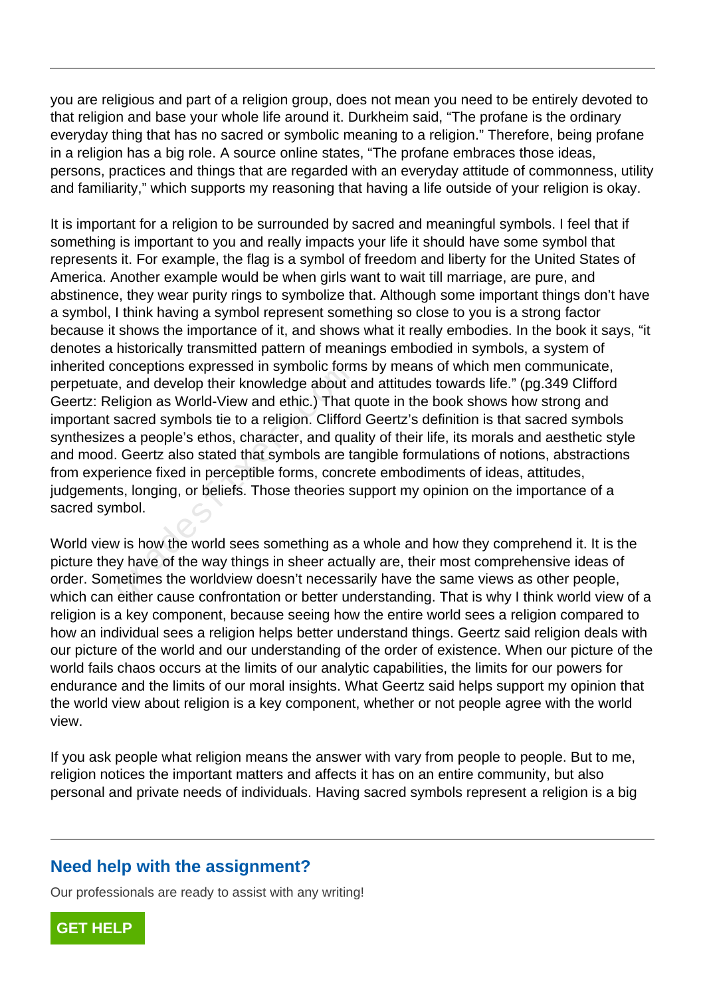you are religious and part of a religion group, does not mean you need to be entirely devoted to that religion and base your whole life around it. Durkheim said, "The profane is the ordinary everyday thing that has no sacred or symbolic meaning to a religion." Therefore, being profane in a religion has a big role. A source online states, "The profane embraces those ideas, persons, practices and things that are regarded with an everyday attitude of commonness, utility and familiarity," which supports my reasoning that having a life outside of your religion is okay.

It is important for a religion to be surrounded by sacred and meaningful symbols. I feel that if something is important to you and really impacts your life it should have some symbol that represents it. For example, the flag is a symbol of freedom and liberty for the United States of America. Another example would be when girls want to wait till marriage, are pure, and abstinence, they wear purity rings to symbolize that. Although some important things don't have a symbol, I think having a symbol represent something so close to you is a strong factor because it shows the importance of it, and shows what it really embodies. In the book it says, "it denotes a historically transmitted pattern of meanings embodied in symbols, a system of inherited conceptions expressed in symbolic forms by means of which men communicate, perpetuate, and develop their knowledge about and attitudes towards life." (pg.349 Clifford Geertz: Religion as World-View and ethic.) That quote in the book shows how strong and important sacred symbols tie to a religion. Clifford Geertz's definition is that sacred symbols synthesizes a people's ethos, character, and quality of their life, its morals and aesthetic style and mood. Geertz also stated that symbols are tangible formulations of notions, abstractions from experience fixed in perceptible forms, concrete embodiments of ideas, attitudes, judgements, longing, or beliefs. Those theories support my opinion on the importance of a sacred symbol. onceptions expressed in symbolic form<br>example about a ligion as World-View and ethic.) That dialigion as World-View and ethic.) That dialigion as World-View and ethic.) That dialigion sa people's ethos, character, and qual

World view is how the world sees something as a whole and how they comprehend it. It is the picture they have of the way things in sheer actually are, their most comprehensive ideas of order. Sometimes the worldview doesn't necessarily have the same views as other people, which can either cause confrontation or better understanding. That is why I think world view of a religion is a key component, because seeing how the entire world sees a religion compared to how an individual sees a religion helps better understand things. Geertz said religion deals with our picture of the world and our understanding of the order of existence. When our picture of the world fails chaos occurs at the limits of our analytic capabilities, the limits for our powers for endurance and the limits of our moral insights. What Geertz said helps support my opinion that the world view about religion is a key component, whether or not people agree with the world view.

If you ask people what religion means the answer with vary from people to people. But to me, religion notices the important matters and affects it has on an entire community, but also personal and private needs of individuals. Having sacred symbols represent a religion is a big

## **Need help with the assignment?**

Our professionals are ready to assist with any writing!